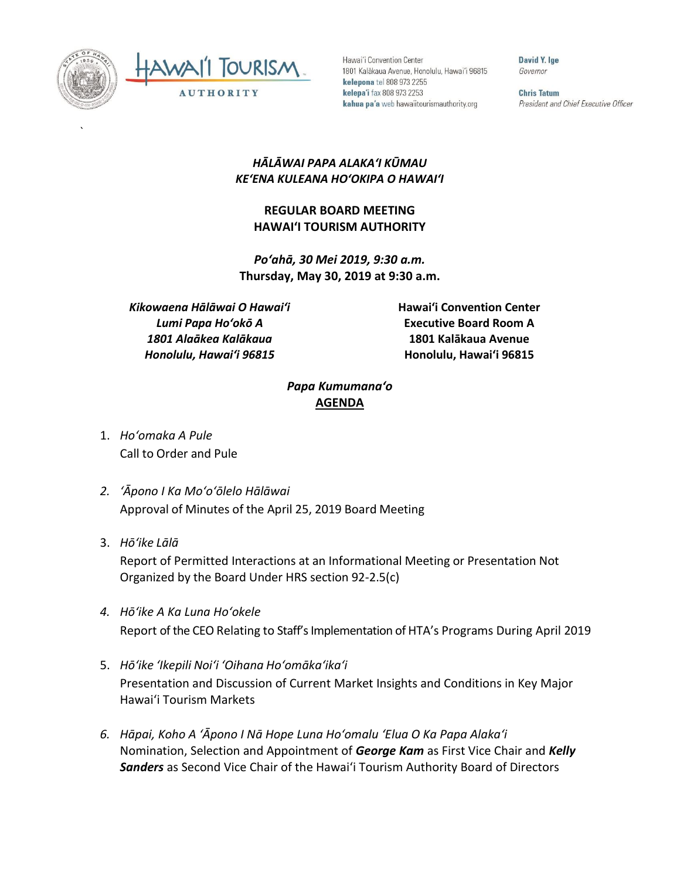

`



Hawai'i Convention Center 1801 Kalākaua Avenue, Honolulu, Hawai'i 96815 kelepona tel 808 973 2255 kelepa'i fax 808 973 2253 kahua pa'a web hawaiitourismauthority.org

David Y. Ige Governor

**Chris Tatum** President and Chief Executive Officer

## *HĀLĀWAI PAPA ALAKAʻI KŪMAU KEʻENA KULEANA HOʻOKIPA O HAWAIʻI*

## **REGULAR BOARD MEETING HAWAI'I TOURISM AUTHORITY**

*Poʻahā, 30 Mei 2019, 9:30 a.m.* **Thursday, May 30, 2019 at 9:30 a.m.**

*Kikowaena Hālāwai O Hawaiʻi Lumi Papa Hoʻokō A 1801 Alaākea Kalākaua Honolulu, Hawaiʻi 96815*

**Hawai'i Convention Center Executive Board Room A 1801 Kalākaua Avenue Honolulu, Hawai'i 96815**

## *Papa Kumumanaʻo* **AGENDA**

- 1. *Ho'omaka A Pule* Call to Order and Pule
- *2. ʻĀpono I Ka Moʻoʻōlelo Hālāwai* Approval of Minutes of the April 25, 2019 Board Meeting
- 3. *Hō'ike Lālā*

Report of Permitted Interactions at an Informational Meeting or Presentation Not Organized by the Board Under HRS section 92-2.5(c)

- *4. Hōʻike A Ka Luna Hoʻokele* Report of the CEO Relating to Staff's Implementation of HTA's Programs During April 2019
- 5. *Hō'ike 'Ikepili Noi'i 'Oihana Ho'omāka'ika'i* Presentation and Discussion of Current Market Insights and Conditions in Key Major Hawai'i Tourism Markets
- *6. Hāpai, Koho A ʻĀpono I Nā Hope Luna Hoʻomalu ʻElua O Ka Papa Alakaʻi* Nomination, Selection and Appointment of *George Kam* as First Vice Chair and *Kelly Sanders* as Second Vice Chair of the Hawai'i Tourism Authority Board of Directors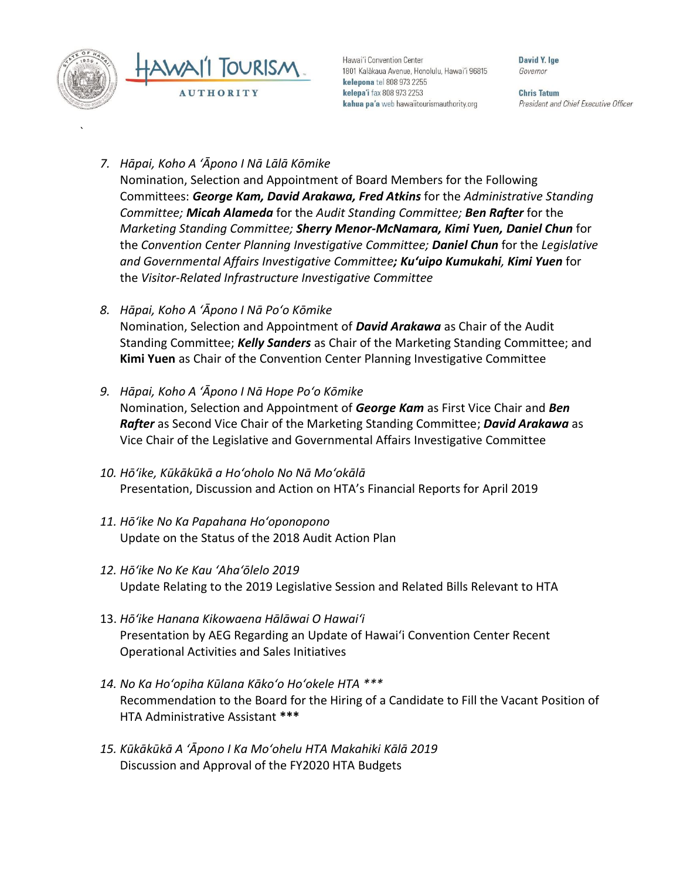

`

Hawai'i Convention Center 1801 Kalākaua Avenue, Honolulu, Hawai'i 96815 kelepona tel 808 973 2255 kelepa'i fax 808 973 2253 kahua pa'a web hawaiitourismauthority.org

David Y. Ine Governor

**Chris Tatum** President and Chief Executive Officer

- *7. Hāpai, Koho A ʻĀpono I Nā Lālā Kōmike* Nomination, Selection and Appointment of Board Members for the Following Committees: *George Kam, David Arakawa, Fred Atkins* for the *Administrative Standing Committee; Micah Alameda* for the *Audit Standing Committee; Ben Rafter* for the *Marketing Standing Committee; Sherry Menor-McNamara, Kimi Yuen, Daniel Chun* for the *Convention Center Planning Investigative Committee; Daniel Chun* for the *Legislative and Governmental Affairs Investigative Committee; Ku'uipo Kumukahi, Kimi Yuen* for the *Visitor-Related Infrastructure Investigative Committee*
- *8. Hāpai, Koho A ʻĀpono I Nā Poʻo Kōmike* Nomination, Selection and Appointment of *David Arakawa* as Chair of the Audit Standing Committee; *Kelly Sanders* as Chair of the Marketing Standing Committee; and **Kimi Yuen** as Chair of the Convention Center Planning Investigative Committee
- *9. Hāpai, Koho A ʻĀpono I Nā Hope Poʻo Kōmike* Nomination, Selection and Appointment of *George Kam* as First Vice Chair and *Ben Rafter* as Second Vice Chair of the Marketing Standing Committee; *David Arakawa* as Vice Chair of the Legislative and Governmental Affairs Investigative Committee
- *10. Hōʻike, Kūkākūkā a Hoʻoholo No Nā Moʻokālā* Presentation, Discussion and Action on HTA's Financial Reports for April 2019
- *11. Hōʻike No Ka Papahana Hoʻoponopono* Update on the Status of the 2018 Audit Action Plan
- *12. Hōʻike No Ke Kau ʻAhaʻōlelo 2019* Update Relating to the 2019 Legislative Session and Related Bills Relevant to HTA
- 13. *Hōʻike Hanana Kikowaena Hālāwai O Hawaiʻi* Presentation by AEG Regarding an Update of Hawai'i Convention Center Recent Operational Activities and Sales Initiatives
- *14. No Ka Hoʻopiha Kūlana Kākoʻo Hoʻokele HTA \*\*\** Recommendation to the Board for the Hiring of a Candidate to Fill the Vacant Position of HTA Administrative Assistant **\*\*\***
- *15. Kūkākūkā A 'Āpono I Ka Mo'ohelu HTA Makahiki Kālā 2019*  Discussion and Approval of the FY2020 HTA Budgets